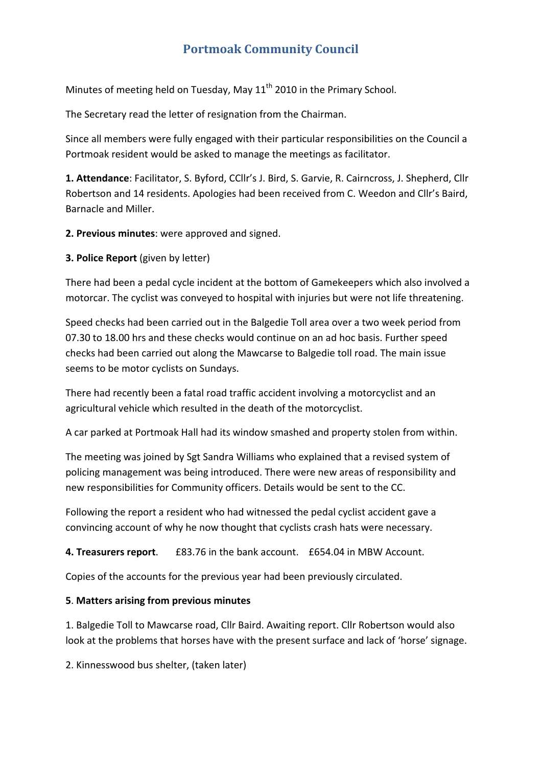# **Portmoak Community Council**

Minutes of meeting held on Tuesday, May 11<sup>th</sup> 2010 in the Primary School.

The Secretary read the letter of resignation from the Chairman.

Since all members were fully engaged with their particular responsibilities on the Council a Portmoak resident would be asked to manage the meetings as facilitator.

**1. Attendance**: Facilitator, S. Byford, CCllr's J. Bird, S. Garvie, R. Cairncross, J. Shepherd, Cllr Robertson and 14 residents. Apologies had been received from C. Weedon and Cllr's Baird, Barnacle and Miller.

**2. Previous minutes**: were approved and signed.

**3. Police Report** (given by letter)

There had been a pedal cycle incident at the bottom of Gamekeepers which also involved a motorcar. The cyclist was conveyed to hospital with injuries but were not life threatening.

Speed checks had been carried out in the Balgedie Toll area over a two week period from 07.30 to 18.00 hrs and these checks would continue on an ad hoc basis. Further speed checks had been carried out along the Mawcarse to Balgedie toll road. The main issue seems to be motor cyclists on Sundays.

There had recently been a fatal road traffic accident involving a motorcyclist and an agricultural vehicle which resulted in the death of the motorcyclist.

A car parked at Portmoak Hall had its window smashed and property stolen from within.

The meeting was joined by Sgt Sandra Williams who explained that a revised system of policing management was being introduced. There were new areas of responsibility and new responsibilities for Community officers. Details would be sent to the CC.

Following the report a resident who had witnessed the pedal cyclist accident gave a convincing account of why he now thought that cyclists crash hats were necessary.

**4. Treasurers report**. £83.76 in the bank account. £654.04 in MBW Account.

Copies of the accounts for the previous year had been previously circulated.

### **5**. **Matters arising from previous minutes**

1. Balgedie Toll to Mawcarse road, Cllr Baird. Awaiting report. Cllr Robertson would also look at the problems that horses have with the present surface and lack of 'horse' signage.

2. Kinnesswood bus shelter, (taken later)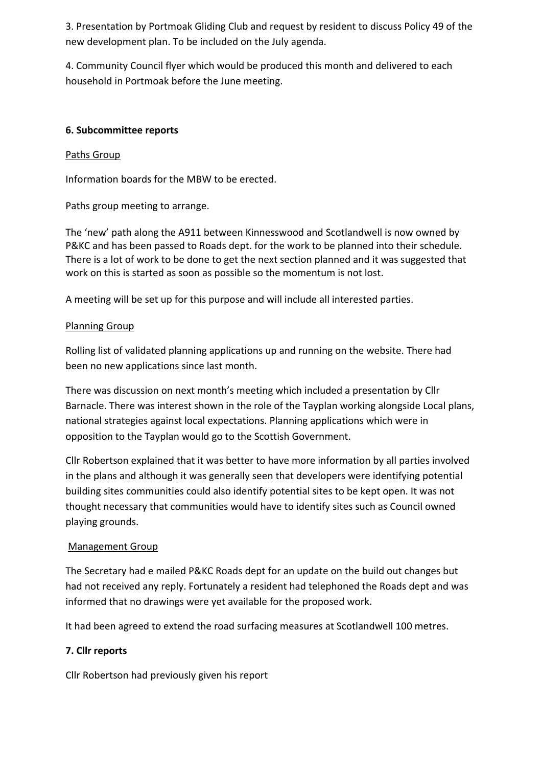3. Presentation by Portmoak Gliding Club and request by resident to discuss Policy 49 of the new development plan. To be included on the July agenda.

4. Community Council flyer which would be produced this month and delivered to each household in Portmoak before the June meeting.

### **6. Subcommittee reports**

### Paths Group

Information boards for the MBW to be erected.

Paths group meeting to arrange.

The 'new' path along the A911 between Kinnesswood and Scotlandwell is now owned by P&KC and has been passed to Roads dept. for the work to be planned into their schedule. There is a lot of work to be done to get the next section planned and it was suggested that work on this is started as soon as possible so the momentum is not lost.

A meeting will be set up for this purpose and will include all interested parties.

### Planning Group

Rolling list of validated planning applications up and running on the website. There had been no new applications since last month.

There was discussion on next month's meeting which included a presentation by Cllr Barnacle. There was interest shown in the role of the Tayplan working alongside Local plans, national strategies against local expectations. Planning applications which were in opposition to the Tayplan would go to the Scottish Government.

Cllr Robertson explained that it was better to have more information by all parties involved in the plans and although it was generally seen that developers were identifying potential building sites communities could also identify potential sites to be kept open. It was not thought necessary that communities would have to identify sites such as Council owned playing grounds.

### Management Group

The Secretary had e mailed P&KC Roads dept for an update on the build out changes but had not received any reply. Fortunately a resident had telephoned the Roads dept and was informed that no drawings were yet available for the proposed work.

It had been agreed to extend the road surfacing measures at Scotlandwell 100 metres.

### **7. Cllr reports**

Cllr Robertson had previously given his report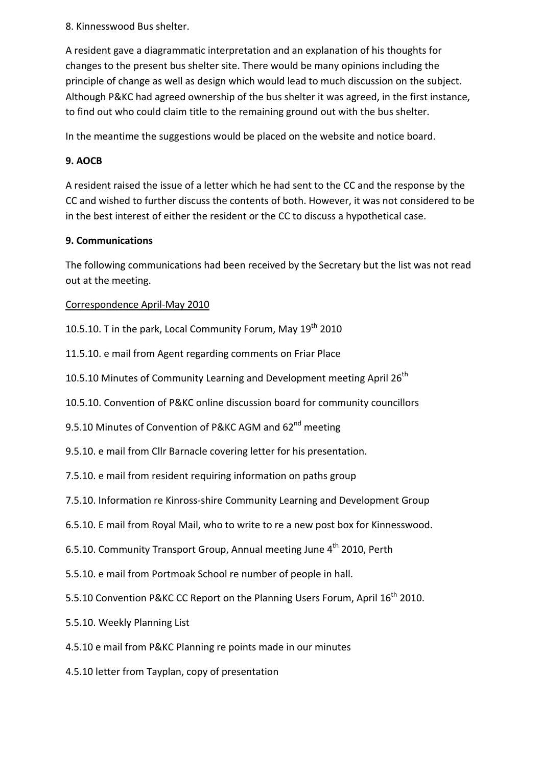8. Kinnesswood Bus shelter.

A resident gave a diagrammatic interpretation and an explanation of his thoughts for changes to the present bus shelter site. There would be many opinions including the principle of change as well as design which would lead to much discussion on the subject. Although P&KC had agreed ownership of the bus shelter it was agreed, in the first instance, to find out who could claim title to the remaining ground out with the bus shelter.

In the meantime the suggestions would be placed on the website and notice board.

## **9. AOCB**

A resident raised the issue of a letter which he had sent to the CC and the response by the CC and wished to further discuss the contents of both. However, it was not considered to be in the best interest of either the resident or the CC to discuss a hypothetical case.

### **9. Communications**

The following communications had been received by the Secretary but the list was not read out at the meeting.

Correspondence April‐May 2010

10.5.10. T in the park, Local Community Forum, May  $19<sup>th</sup>$  2010

11.5.10. e mail from Agent regarding comments on Friar Place

10.5.10 Minutes of Community Learning and Development meeting April 26<sup>th</sup>

10.5.10. Convention of P&KC online discussion board for community councillors

9.5.10 Minutes of Convention of P&KC AGM and 62<sup>nd</sup> meeting

9.5.10. e mail from Cllr Barnacle covering letter for his presentation.

7.5.10. e mail from resident requiring information on paths group

7.5.10. Information re Kinross‐shire Community Learning and Development Group

6.5.10. E mail from Royal Mail, who to write to re a new post box for Kinnesswood.

6.5.10. Community Transport Group, Annual meeting June 4<sup>th</sup> 2010, Perth

5.5.10. e mail from Portmoak School re number of people in hall.

5.5.10 Convention P&KC CC Report on the Planning Users Forum, April 16<sup>th</sup> 2010.

5.5.10. Weekly Planning List

4.5.10 e mail from P&KC Planning re points made in our minutes

4.5.10 letter from Tayplan, copy of presentation